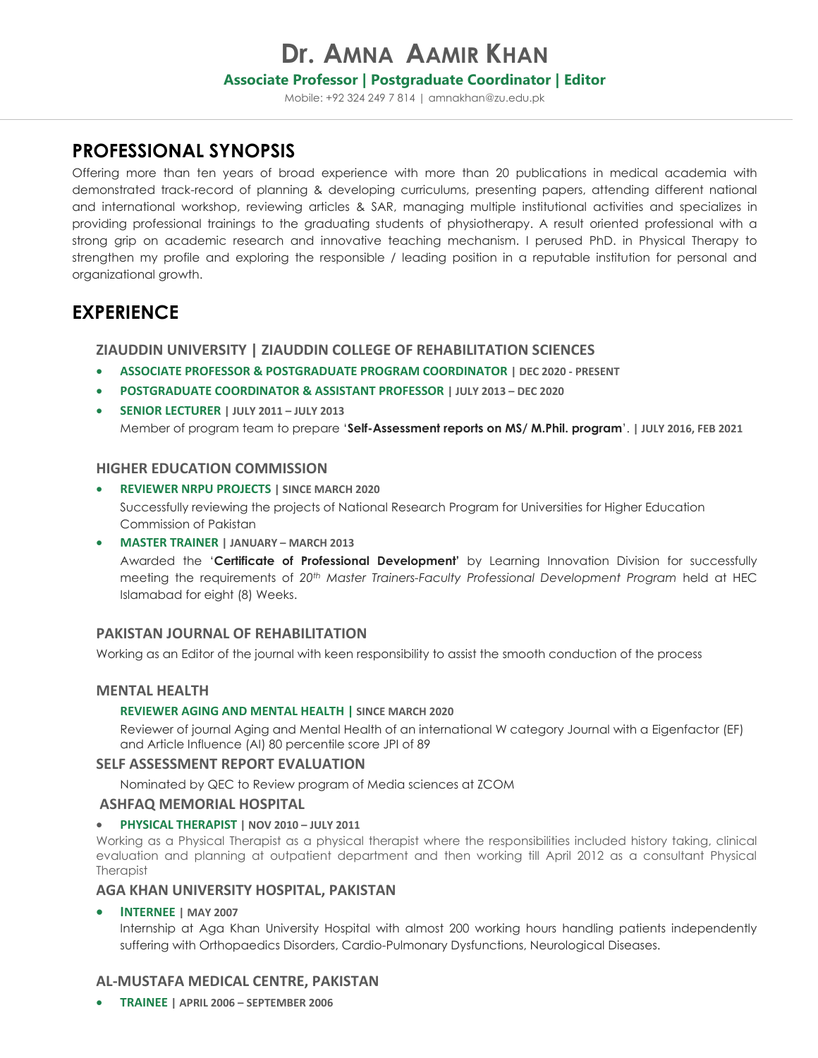# **Dr. AMNA AAMIR KHAN**

### **Associate Professor | Postgraduate Coordinator | Editor**

Mobile: +92 324 249 7 814 [| amnakhan@zu.edu.pk](mailto:amnakhan@zu.edu.pk)

# **PROFESSIONAL SYNOPSIS**

Offering more than ten years of broad experience with more than 20 publications in medical academia with demonstrated track-record of planning & developing curriculums, presenting papers, attending different national and international workshop, reviewing articles & SAR, managing multiple institutional activities and specializes in providing professional trainings to the graduating students of physiotherapy. A result oriented professional with a strong grip on academic research and innovative teaching mechanism. I perused PhD. in Physical Therapy to strengthen my profile and exploring the responsible / leading position in a reputable institution for personal and organizational growth.

# **EXPERIENCE**

### **ZIAUDDIN UNIVERSITY | ZIAUDDIN COLLEGE OF REHABILITATION SCIENCES**

- **ASSOCIATE PROFESSOR & POSTGRADUATE PROGRAM COORDINATOR | DEC 2020 - PRESENT**
- **POSTGRADUATE COORDINATOR & ASSISTANT PROFESSOR | JULY 2013 – DEC 2020**
- **SENIOR LECTURER | JULY 2011 – JULY 2013** Member of program team to prepare '**Self-Assessment reports on MS/ M.Phil. program**'. **| JULY 2016, FEB 2021**

### **HIGHER EDUCATION COMMISSION**

- **REVIEWER NRPU PROJECTS | SINCE MARCH 2020** Successfully reviewing the projects of National Research Program for Universities for Higher Education Commission of Pakistan
- **MASTER TRAINER | JANUARY – MARCH 2013** Awarded the '**Certificate of Professional Development'** by Learning Innovation Division for successfully meeting the requirements of *20th Master Trainers-Faculty Professional Development Program* held at HEC Islamabad for eight (8) Weeks.

### **PAKISTAN JOURNAL OF REHABILITATION**

Working as an Editor of the journal with keen responsibility to assist the smooth conduction of the process

### **MENTAL HEALTH**

#### **REVIEWER AGING AND MENTAL HEALTH | SINCE MARCH 2020**

Reviewer of journal Aging and Mental Health of an international W category Journal with a Eigenfactor (EF) and Article Influence (AI) 80 percentile score JPI of 89

#### **SELF ASSESSMENT REPORT EVALUATION**

Nominated by QEC to Review program of Media sciences at ZCOM

#### **ASHFAQ MEMORIAL HOSPITAL**

**PHYSICAL THERAPIST | NOV 2010 – JULY 2011** 

Working as a Physical Therapist as a physical therapist where the responsibilities included history taking, clinical evaluation and planning at outpatient department and then working till April 2012 as a consultant Physical **Therapist** 

#### **AGA KHAN UNIVERSITY HOSPITAL, PAKISTAN**

**INTERNEE | MAY 2007**

Internship at Aga Khan University Hospital with almost 200 working hours handling patients independently suffering with Orthopaedics Disorders, Cardio-Pulmonary Dysfunctions, Neurological Diseases.

### **AL-MUSTAFA MEDICAL CENTRE, PAKISTAN**

**TRAINEE | APRIL 2006 – SEPTEMBER 2006**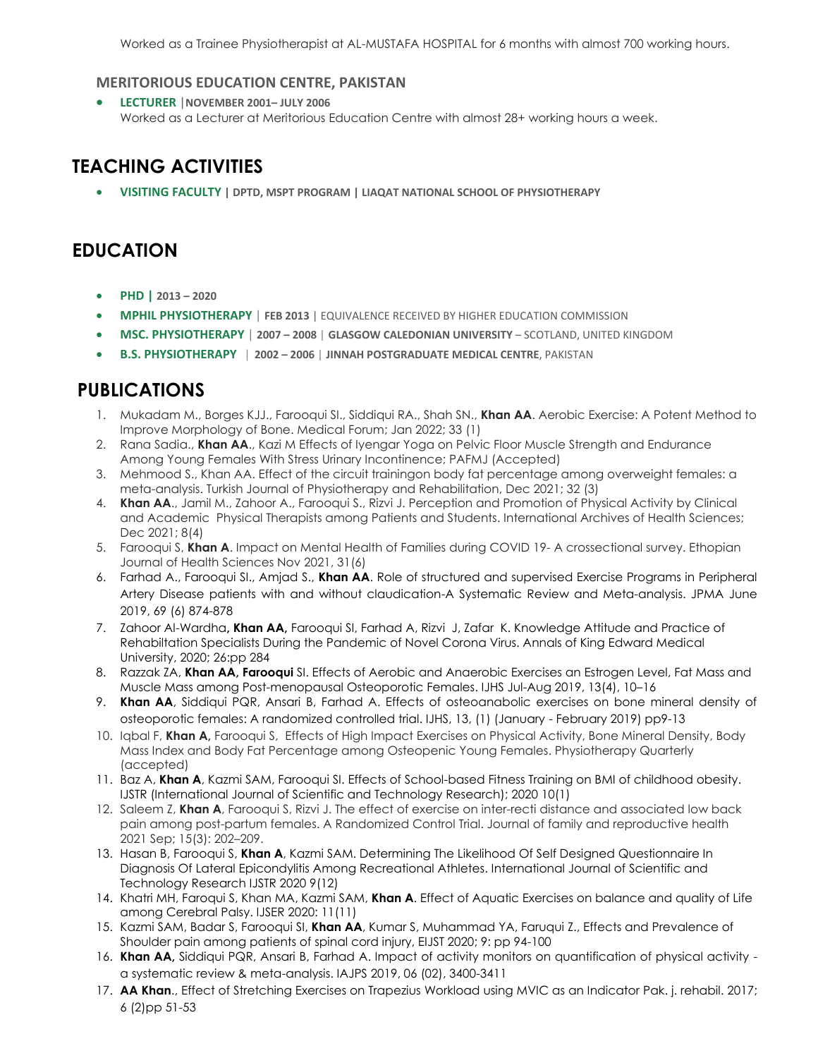Worked as a Trainee Physiotherapist at AL-MUSTAFA HOSPITAL for 6 months with almost 700 working hours.

### **MERITORIOUS EDUCATION CENTRE, PAKISTAN**

 **LECTURER** |**NOVEMBER 2001– JULY 2006** Worked as a Lecturer at Meritorious Education Centre with almost 28+ working hours a week.

# **TEACHING ACTIVITIES**

**VISITING FACULTY | DPTD, MSPT PROGRAM | LIAQAT NATIONAL SCHOOL OF PHYSIOTHERAPY**

# **EDUCATION**

- **PHD | 2013 – 2020**
- **MPHIL PHYSIOTHERAPY** | **FEB 2013** | EQUIVALENCE RECEIVED BY HIGHER EDUCATION COMMISSION
- **MSC. PHYSIOTHERAPY** | **2007 – 2008** | **GLASGOW CALEDONIAN UNIVERSITY**  SCOTLAND, UNITED KINGDOM
- **B.S. PHYSIOTHERAPY** | **2002 – 2006** | **JINNAH POSTGRADUATE MEDICAL CENTRE**, PAKISTAN

# **PUBLICATIONS**

- 1. Mukadam M., Borges KJJ., Farooqui SI., Siddiqui RA., Shah SN., **Khan AA**. Aerobic Exercise: A Potent Method to Improve Morphology of Bone. Medical Forum; Jan 2022; 33 (1)
- 2. Rana Sadia., **Khan AA**., Kazi M Effects of Iyengar Yoga on Pelvic Floor Muscle Strength and Endurance Among Young Females With Stress Urinary Incontinence; PAFMJ (Accepted)
- 3. Mehmood S., Khan AA. Effect of the circuit trainingon body fat percentage among overweight females: a meta-analysis. Turkish Journal of Physiotherapy and Rehabilitation, Dec 2021; 32 (3)
- 4. **Khan AA**., Jamil M., Zahoor A., Farooqui S., Rizvi J. Perception and Promotion of Physical Activity by Clinical and Academic Physical Therapists among Patients and Students. International Archives of Health Sciences; Dec 2021; 8(4)
- 5. Farooqui S, **Khan A**. Impact on Mental Health of Families during COVID 19- A crossectional survey. Ethopian Journal of Health Sciences Nov 2021, 31(6)
- 6. Farhad A., Farooqui SI., Amjad S., **Khan AA**. Role of structured and supervised Exercise Programs in Peripheral Artery Disease patients with and without claudication-A Systematic Review and Meta-analysis. JPMA June 2019, 69 (6) 874-878
- 7. Zahoor Al-Wardha**, Khan AA,** Farooqui SI, Farhad A, Rizvi J, Zafar K. Knowledge Attitude and Practice of Rehabiltation Specialists During the Pandemic of Novel Corona Virus. Annals of King Edward Medical University, 2020; 26:pp 284
- 8. Razzak ZA, **Khan AA, Farooqui** SI. Effects of Aerobic and Anaerobic Exercises an Estrogen Level, Fat Mass and Muscle Mass among Post-menopausal Osteoporotic Females. IJHS Jul-Aug 2019, 13(4), 10–16
- 9. **Khan AA**, Siddiqui PQR, Ansari B, Farhad A. Effects of osteoanabolic exercises on bone mineral density of osteoporotic females: A randomized controlled trial. IJHS, 13, (1) (January - February 2019) pp9-13
- 10. Iqbal F, **Khan A,** Farooqui S, Effects of High Impact Exercises on Physical Activity, Bone Mineral Density, Body Mass Index and Body Fat Percentage among Osteopenic Young Females. Physiotherapy Quarterly (accepted)
- 11. Baz A, **Khan A**, Kazmi SAM, Farooqui SI. Effects of School-based Fitness Training on BMI of childhood obesity. IJSTR (International Journal of Scientific and Technology Research); 2020 10(1)
- 12. Saleem Z, **Khan A**, Farooqui S, Rizvi J. The effect of exercise on inter-recti distance and associated low back pain among post-partum females. A Randomized Control Trial. Journal of family and reproductive health 2021 Sep; 15(3): 202–209.
- 13. Hasan B, Farooqui S, **Khan A**, Kazmi SAM. Determining The Likelihood Of Self Designed Questionnaire In Diagnosis Of Lateral Epicondylitis Among Recreational Athletes. International Journal of Scientific and Technology Research IJSTR 2020 9(12)
- 14. Khatri MH, Faroqui S, Khan MA, Kazmi SAM, **Khan A**. Effect of Aquatic Exercises on balance and quality of Life among Cerebral Palsy. IJSER 2020: 11(11)
- 15. Kazmi SAM, Badar S, Farooqui SI, **Khan AA**, Kumar S, Muhammad YA, Faruqui Z., Effects and Prevalence of Shoulder pain among patients of spinal cord injury, EIJST 2020; 9: pp 94-100
- 16. **Khan AA,** Siddiqui PQR, Ansari B, Farhad A. Impact of activity monitors on quantification of physical activity a systematic review & meta-analysis. IAJPS 2019, 06 (02), 3400-3411
- 17. **AA Khan**., Effect of Stretching Exercises on Trapezius Workload using MVIC as an Indicator Pak. j. rehabil. 2017; 6 (2)pp 51-53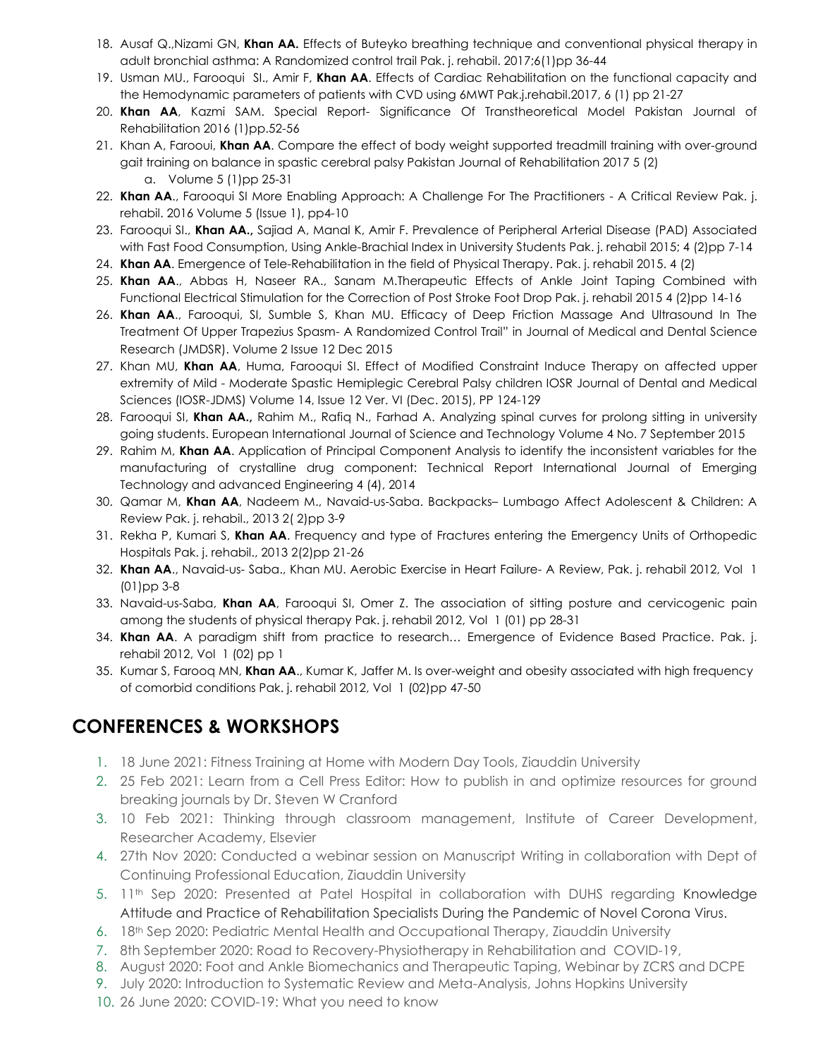- 18. Ausaf Q.,Nizami GN, **Khan AA.** Effects of Buteyko breathing technique and conventional physical therapy in adult bronchial asthma: A Randomized control trail Pak. j. rehabil. 2017;6(1)pp 36-44
- 19. Usman MU., Farooqui SI., Amir F, **Khan AA**. Effects of Cardiac Rehabilitation on the functional capacity and the Hemodynamic parameters of patients with CVD using 6MWT Pak.j.rehabil.2017, 6 (1) pp 21-27
- 20. **Khan AA**, Kazmi SAM. Special Report- Significance Of Transtheoretical Model Pakistan Journal of Rehabilitation 2016 (1)pp.52-56
- 21. Khan A, Farooui, **Khan AA**. Compare the effect of body weight supported treadmill training with over-ground gait training on balance in spastic cerebral palsy Pakistan Journal of Rehabilitation 2017 5 (2) a. Volume 5 (1)pp 25-31
- 22. **Khan AA**., Farooqui SI More Enabling Approach: A Challenge For The Practitioners A Critical Review Pak. j. rehabil. 2016 Volume 5 (Issue 1), pp4-10
- 23. Farooqui SI., **Khan AA.,** Sajiad A, Manal K, Amir F. Prevalence of Peripheral Arterial Disease (PAD) Associated with Fast Food Consumption, Using Ankle-Brachial Index in University Students Pak. j. rehabil 2015; 4 (2)pp 7-14
- 24. **Khan AA**. Emergence of Tele-Rehabilitation in the field of Physical Therapy. Pak. j. rehabil 2015. 4 (2)
- 25. **Khan AA**., Abbas H, Naseer RA., Sanam M.Therapeutic Effects of Ankle Joint Taping Combined with Functional Electrical Stimulation for the Correction of Post Stroke Foot Drop Pak. j. rehabil 2015 4 (2)pp 14-16
- 26. **Khan AA**., Farooqui, SI, Sumble S, Khan MU. Efficacy of Deep Friction Massage And Ultrasound In The Treatment Of Upper Trapezius Spasm- A Randomized Control Trail" in Journal of Medical and Dental Science Research (JMDSR). Volume 2 Issue 12 Dec 2015
- 27. Khan MU, **Khan AA**, Huma, Farooqui SI. Effect of Modified Constraint Induce Therapy on affected upper extremity of Mild - Moderate Spastic Hemiplegic Cerebral Palsy children IOSR Journal of Dental and Medical Sciences (IOSR-JDMS) Volume 14, Issue 12 Ver. VI (Dec. 2015), PP 124-129
- 28. Farooqui SI, **Khan AA.,** Rahim M., Rafiq N., Farhad A. Analyzing spinal curves for prolong sitting in university going students. European International Journal of Science and Technology Volume 4 No. 7 September 2015
- 29. Rahim M, **Khan AA**. Application of Principal Component Analysis to identify the inconsistent variables for the manufacturing of crystalline drug component: Technical Report International Journal of Emerging Technology and advanced Engineering 4 (4), 2014
- 30. Qamar M, **Khan AA**, Nadeem M., Navaid-us-Saba. Backpacks– Lumbago Affect Adolescent & Children: A Review Pak. j. rehabil., 2013 2( 2)pp 3-9
- 31. Rekha P, Kumari S, **Khan AA**. Frequency and type of Fractures entering the Emergency Units of Orthopedic Hospitals Pak. j. rehabil., 2013 2(2)pp 21-26
- 32. **Khan AA**., Navaid-us- Saba., Khan MU. Aerobic Exercise in Heart Failure- A Review, Pak. j. rehabil 2012, Vol 1 (01)pp 3-8
- 33. Navaid-us-Saba, **Khan AA**, Farooqui SI, Omer Z. The association of sitting posture and cervicogenic pain among the students of physical therapy Pak. j. rehabil 2012, Vol 1 (01) pp 28-31
- 34. **Khan AA**. A paradigm shift from practice to research… Emergence of Evidence Based Practice. Pak. j. rehabil 2012, Vol 1 (02) pp 1
- 35. Kumar S, Farooq MN, **Khan AA**., Kumar K, Jaffer M. Is over-weight and obesity associated with high frequency of comorbid conditions Pak. j. rehabil 2012, Vol 1 (02)pp 47-50

# **CONFERENCES & WORKSHOPS**

- 1. 18 June 2021: Fitness Training at Home with Modern Day Tools, Ziauddin University
- 2. 25 Feb 2021: Learn from a Cell Press Editor: How to publish in and optimize resources for ground breaking journals by Dr. Steven W Cranford
- 3. 10 Feb 2021: Thinking through classroom management, Institute of Career Development, Researcher Academy, Elsevier
- 4. 27th Nov 2020: Conducted a webinar session on Manuscript Writing in collaboration with Dept of Continuing Professional Education, Ziauddin University
- 5. 11th Sep 2020: Presented at Patel Hospital in collaboration with DUHS regarding Knowledge Attitude and Practice of Rehabilitation Specialists During the Pandemic of Novel Corona Virus.
- 6. 18th Sep 2020: Pediatric Mental Health and Occupational Therapy, Ziauddin University
- 7. 8th September 2020: Road to Recovery-Physiotherapy in Rehabilitation and COVID-19,
- 8. August 2020: Foot and Ankle Biomechanics and Therapeutic Taping, Webinar by ZCRS and DCPE
- 9. July 2020: Introduction to Systematic Review and Meta-Analysis, Johns Hopkins University
- 10. 26 June 2020: COVID-19: What you need to know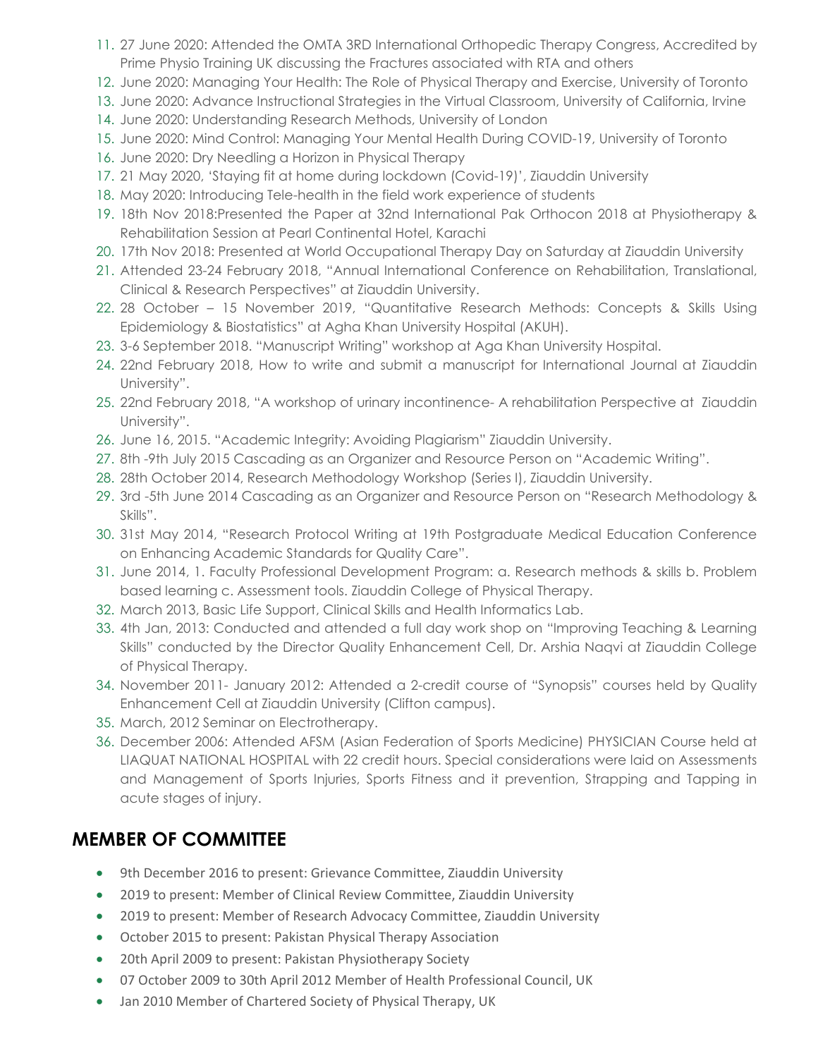- 11. 27 June 2020: Attended the OMTA 3RD International Orthopedic Therapy Congress, Accredited by Prime Physio Training UK discussing the Fractures associated with RTA and others
- 12. June 2020: Managing Your Health: The Role of Physical Therapy and Exercise, University of Toronto
- 13. June 2020: Advance Instructional Strategies in the Virtual Classroom, University of California, Irvine
- 14. June 2020: Understanding Research Methods, University of London
- 15. June 2020: Mind Control: Managing Your Mental Health During COVID-19, University of Toronto
- 16. June 2020: Dry Needling a Horizon in Physical Therapy
- 17. 21 May 2020, 'Staying fit at home during lockdown (Covid-19)', Ziauddin University
- 18. May 2020: Introducing Tele-health in the field work experience of students
- 19. 18th Nov 2018:Presented the Paper at 32nd International Pak Orthocon 2018 at Physiotherapy & Rehabilitation Session at Pearl Continental Hotel, Karachi
- 20. 17th Nov 2018: Presented at World Occupational Therapy Day on Saturday at Ziauddin University
- 21. Attended 23-24 February 2018, "Annual International Conference on Rehabilitation, Translational, Clinical & Research Perspectives" at Ziauddin University.
- 22. 28 October 15 November 2019, "Quantitative Research Methods: Concepts & Skills Using Epidemiology & Biostatistics" at Agha Khan University Hospital (AKUH).
- 23. 3-6 September 2018. "Manuscript Writing" workshop at Aga Khan University Hospital.
- 24. 22nd February 2018, How to write and submit a manuscript for International Journal at Ziauddin University".
- 25. 22nd February 2018, "A workshop of urinary incontinence- A rehabilitation Perspective at Ziauddin University".
- 26. June 16, 2015. "Academic Integrity: Avoiding Plagiarism" Ziauddin University.
- 27. 8th -9th July 2015 Cascading as an Organizer and Resource Person on "Academic Writing".
- 28. 28th October 2014, Research Methodology Workshop (Series I), Ziauddin University.
- 29. 3rd -5th June 2014 Cascading as an Organizer and Resource Person on "Research Methodology & Skills".
- 30. 31st May 2014, "Research Protocol Writing at 19th Postgraduate Medical Education Conference on Enhancing Academic Standards for Quality Care".
- 31. June 2014, 1. Faculty Professional Development Program: a. Research methods & skills b. Problem based learning c. Assessment tools. Ziauddin College of Physical Therapy.
- 32. March 2013, Basic Life Support, Clinical Skills and Health Informatics Lab.
- 33. 4th Jan, 2013: Conducted and attended a full day work shop on "Improving Teaching & Learning Skills" conducted by the Director Quality Enhancement Cell, Dr. Arshia Naqvi at Ziauddin College of Physical Therapy.
- 34. November 2011- January 2012: Attended a 2-credit course of "Synopsis" courses held by Quality Enhancement Cell at Ziauddin University (Clifton campus).
- 35. March, 2012 Seminar on Electrotherapy.
- 36. December 2006: Attended AFSM (Asian Federation of Sports Medicine) PHYSICIAN Course held at LIAQUAT NATIONAL HOSPITAL with 22 credit hours. Special considerations were laid on Assessments and Management of Sports Injuries, Sports Fitness and it prevention, Strapping and Tapping in acute stages of injury.

# **MEMBER OF COMMITTEE**

- 9th December 2016 to present: Grievance Committee, Ziauddin University
- 2019 to present: Member of Clinical Review Committee, Ziauddin University
- 2019 to present: Member of Research Advocacy Committee, Ziauddin University
- October 2015 to present: Pakistan Physical Therapy Association
- 20th April 2009 to present: Pakistan Physiotherapy Society
- 07 October 2009 to 30th April 2012 Member of Health Professional Council, UK
- Jan 2010 Member of Chartered Society of Physical Therapy, UK